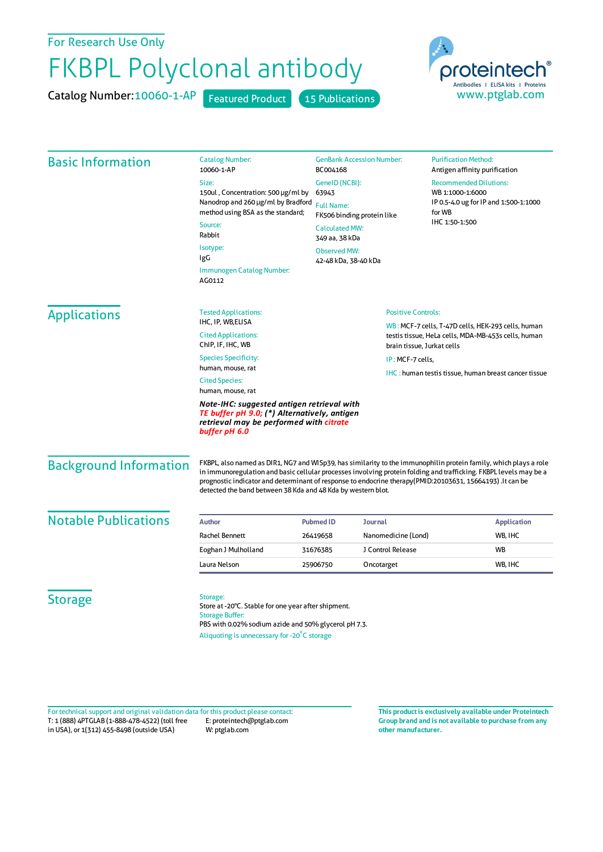## For Research Use Only

## FKBPL Polyclonal antibody

Catalog Number: 10060-1-AP Featured Product 15 Publications

oroteintech Antibodies | ELISA kits | Proteins www.ptglab.com

| <b>Basic Information</b>                                                                                                                               | <b>Catalog Number:</b><br>10060-1-AP                                                                                                                                                                                                                                                                                                                                                                               | <b>GenBank Accession Number:</b><br>BC004168<br>GeneID (NCBI):<br>63943<br><b>Full Name:</b><br>FK506 binding protein like<br><b>Calculated MW:</b><br>349 aa, 38 kDa<br><b>Observed MW:</b><br>42-48 kDa, 38-40 kDa |                                                                                   | <b>Purification Method:</b><br>Antigen affinity purification                                                           |                                                    |                           |  |
|--------------------------------------------------------------------------------------------------------------------------------------------------------|--------------------------------------------------------------------------------------------------------------------------------------------------------------------------------------------------------------------------------------------------------------------------------------------------------------------------------------------------------------------------------------------------------------------|----------------------------------------------------------------------------------------------------------------------------------------------------------------------------------------------------------------------|-----------------------------------------------------------------------------------|------------------------------------------------------------------------------------------------------------------------|----------------------------------------------------|---------------------------|--|
|                                                                                                                                                        | Size:<br>150ul, Concentration: 500 µg/ml by<br>Nanodrop and 260 µg/ml by Bradford<br>method using BSA as the standard;                                                                                                                                                                                                                                                                                             |                                                                                                                                                                                                                      |                                                                                   | <b>Recommended Dilutions:</b><br>WB 1:1000-1:6000<br>IP 0.5-4.0 ug for IP and 1:500-1:1000<br>for WB<br>IHC 1:50-1:500 |                                                    |                           |  |
|                                                                                                                                                        |                                                                                                                                                                                                                                                                                                                                                                                                                    |                                                                                                                                                                                                                      |                                                                                   |                                                                                                                        | Source:                                            |                           |  |
|                                                                                                                                                        |                                                                                                                                                                                                                                                                                                                                                                                                                    |                                                                                                                                                                                                                      |                                                                                   |                                                                                                                        | Rabbit                                             |                           |  |
|                                                                                                                                                        | Isotype:<br>IgG                                                                                                                                                                                                                                                                                                                                                                                                    |                                                                                                                                                                                                                      |                                                                                   |                                                                                                                        |                                                    |                           |  |
|                                                                                                                                                        | <b>Immunogen Catalog Number:</b><br>AG0112                                                                                                                                                                                                                                                                                                                                                                         |                                                                                                                                                                                                                      |                                                                                   |                                                                                                                        |                                                    |                           |  |
|                                                                                                                                                        | <b>Applications</b>                                                                                                                                                                                                                                                                                                                                                                                                |                                                                                                                                                                                                                      |                                                                                   |                                                                                                                        | <b>Tested Applications:</b>                        | <b>Positive Controls:</b> |  |
|                                                                                                                                                        |                                                                                                                                                                                                                                                                                                                                                                                                                    | IHC, IP, WB, ELISA                                                                                                                                                                                                   |                                                                                   |                                                                                                                        | WB: MCF-7 cells, T-47D cells, HEK-293 cells, human |                           |  |
| <b>Cited Applications:</b><br>ChIP, IF, IHC, WB                                                                                                        |                                                                                                                                                                                                                                                                                                                                                                                                                    |                                                                                                                                                                                                                      | testis tissue, HeLa cells, MDA-MB-453s cells, human<br>brain tissue, Jurkat cells |                                                                                                                        |                                                    |                           |  |
| <b>Species Specificity:</b>                                                                                                                            |                                                                                                                                                                                                                                                                                                                                                                                                                    | IP: MCF-7 cells,                                                                                                                                                                                                     |                                                                                   |                                                                                                                        |                                                    |                           |  |
| human, mouse, rat                                                                                                                                      |                                                                                                                                                                                                                                                                                                                                                                                                                    |                                                                                                                                                                                                                      | <b>IHC:</b> human testis tissue, human breast cancer tissue                       |                                                                                                                        |                                                    |                           |  |
| <b>Cited Species:</b><br>human, mouse, rat                                                                                                             |                                                                                                                                                                                                                                                                                                                                                                                                                    |                                                                                                                                                                                                                      |                                                                                   |                                                                                                                        |                                                    |                           |  |
| Note-IHC: suggested antigen retrieval with<br>TE buffer pH 9.0; (*) Alternatively, antigen<br>retrieval may be performed with citrate<br>buffer pH 6.0 |                                                                                                                                                                                                                                                                                                                                                                                                                    |                                                                                                                                                                                                                      |                                                                                   |                                                                                                                        |                                                    |                           |  |
| <b>Background Information</b>                                                                                                                          | FKBPL, also named as DIR1, NG7 and WISp39, has similarity to the immunophilin protein family, which plays a role<br>in immunoregulation and basic cellular processes involving protein folding and trafficking. FKBPL levels may be a<br>prognostic indicator and determinant of response to endocrine therapy(PMID:20103631, 15664193) .It can be<br>detected the band between 38 Kda and 48 Kda by western blot. |                                                                                                                                                                                                                      |                                                                                   |                                                                                                                        |                                                    |                           |  |
| <b>Notable Publications</b>                                                                                                                            | <b>Author</b>                                                                                                                                                                                                                                                                                                                                                                                                      | <b>Pubmed ID</b>                                                                                                                                                                                                     | <b>Application</b><br>Journal                                                     |                                                                                                                        |                                                    |                           |  |
|                                                                                                                                                        | Rachel Bennett                                                                                                                                                                                                                                                                                                                                                                                                     | 26419658                                                                                                                                                                                                             | Nanomedicine (Lond)                                                               | WB, IHC                                                                                                                |                                                    |                           |  |
|                                                                                                                                                        | Eoghan J Mulholland                                                                                                                                                                                                                                                                                                                                                                                                | 31676385                                                                                                                                                                                                             | J Control Release                                                                 | <b>WB</b>                                                                                                              |                                                    |                           |  |
|                                                                                                                                                        | Laura Nelson                                                                                                                                                                                                                                                                                                                                                                                                       | 25906750                                                                                                                                                                                                             | Oncotarget                                                                        | WB, IHC                                                                                                                |                                                    |                           |  |
|                                                                                                                                                        |                                                                                                                                                                                                                                                                                                                                                                                                                    |                                                                                                                                                                                                                      |                                                                                   |                                                                                                                        |                                                    |                           |  |
| <b>Storage</b>                                                                                                                                         | Storage:<br>Store at -20°C. Stable for one year after shipment.<br><b>Storage Buffer:</b><br>PBS with 0.02% sodium azide and 50% glycerol pH 7.3.<br>Aliquoting is unnecessary for -20°C storage                                                                                                                                                                                                                   |                                                                                                                                                                                                                      |                                                                                   |                                                                                                                        |                                                    |                           |  |

T: 1 (888) 4PTGLAB (1-888-478-4522) (toll free in USA), or 1(312) 455-8498 (outside USA) E: proteintech@ptglab.com W: ptglab.com Fortechnical support and original validation data forthis product please contact: **This productis exclusively available under Proteintech**

**Group brand and is not available to purchase from any other manufacturer.**